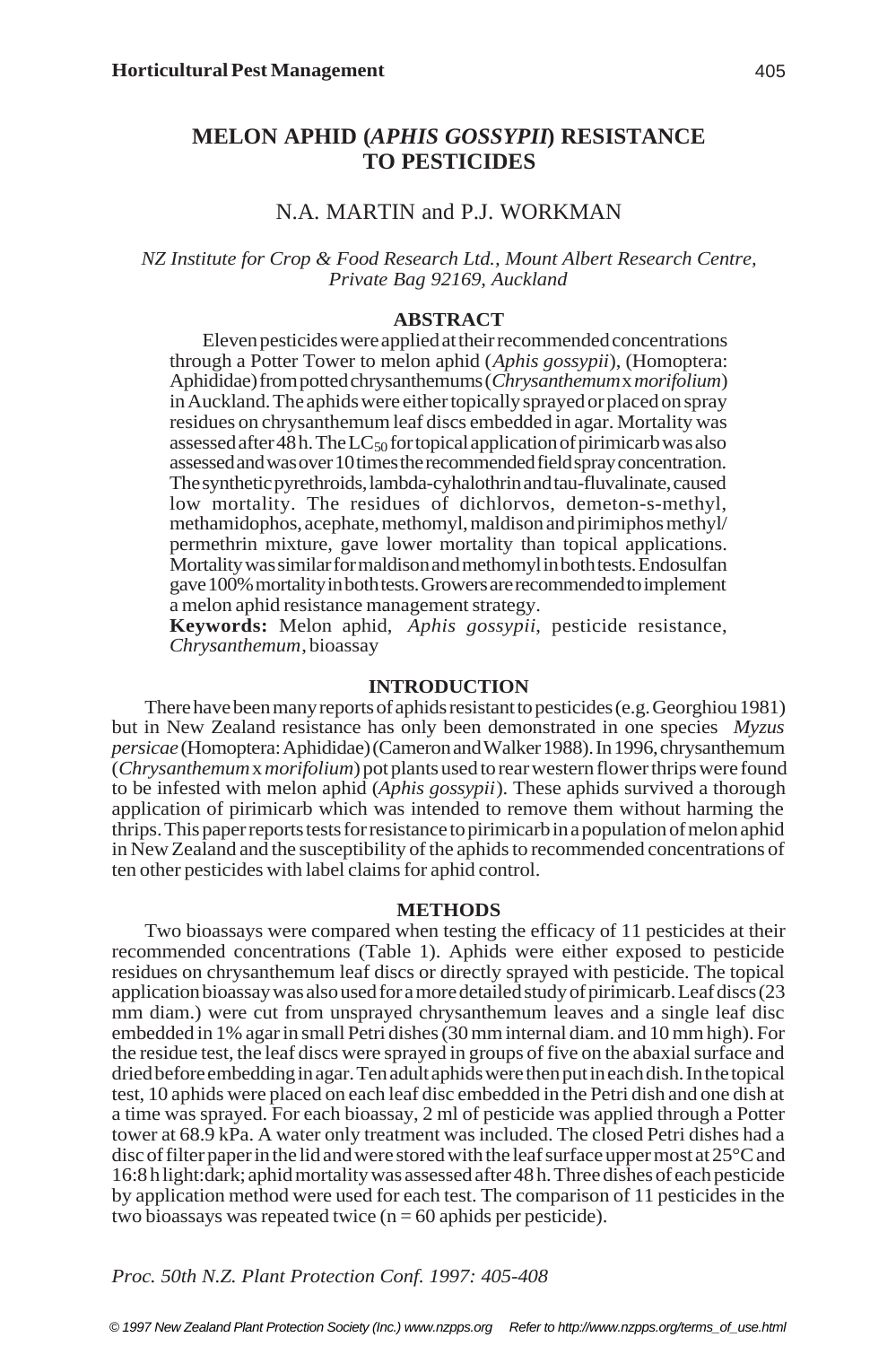# **MELON APHID (***APHIS GOSSYPII***) RESISTANCE TO PESTICIDES**

# N.A. MARTIN and P.J. WORKMAN

# *NZ Institute for Crop & Food Research Ltd., Mount Albert Research Centre, Private Bag 92169, Auckland*

## **ABSTRACT**

Eleven pesticides were applied at their recommended concentrations through a Potter Tower to melon aphid (*Aphis gossypii*), (Homoptera: Aphididae) from potted chrysanthemums (*Chrysanthemum* x *morifolium*) in Auckland. The aphids were either topically sprayed or placed on spray residues on chrysanthemum leaf discs embedded in agar. Mortality was assessed after 48 h. The  $LC_{50}$  for topical application of pirimicarb was also assessed and was over 10 times the recommended field spray concentration. The synthetic pyrethroids, lambda-cyhalothrin and tau-fluvalinate, caused low mortality. The residues of dichlorvos, demeton-s-methyl, methamidophos, acephate, methomyl, maldison and pirimiphos methyl/ permethrin mixture, gave lower mortality than topical applications. Mortality was similar for maldison and methomyl in both tests. Endosulfan gave 100% mortality in both tests. Growers are recommended to implement a melon aphid resistance management strategy.

**Keywords:** Melon aphid, *Aphis gossypii*, pesticide resistance, *Chrysanthemum*, bioassay

## **INTRODUCTION**

There have been many reports of aphids resistant to pesticides (e.g. Georghiou 1981) but in New Zealand resistance has only been demonstrated in one species *Myzus persicae* (Homoptera: Aphididae) (Cameron and Walker 1988). In 1996, chrysanthemum (*Chrysanthemum* x *morifolium*) pot plants used to rear western flower thrips were found to be infested with melon aphid (*Aphis gossypii*). These aphids survived a thorough application of pirimicarb which was intended to remove them without harming the thrips. This paper reports tests for resistance to pirimicarb in a population of melon aphid in New Zealand and the susceptibility of the aphids to recommended concentrations of ten other pesticides with label claims for aphid control.

#### **METHODS**

Two bioassays were compared when testing the efficacy of 11 pesticides at their recommended concentrations (Table 1). Aphids were either exposed to pesticide residues on chrysanthemum leaf discs or directly sprayed with pesticide. The topical application bioassay was also used for a more detailed study of pirimicarb. Leaf discs (23 mm diam.) were cut from unsprayed chrysanthemum leaves and a single leaf disc embedded in 1% agar in small Petri dishes (30 mm internal diam. and 10 mm high). For the residue test, the leaf discs were sprayed in groups of five on the abaxial surface and dried before embedding in agar. Ten adult aphids were then put in each dish. In the topical test, 10 aphids were placed on each leaf disc embedded in the Petri dish and one dish at a time was sprayed. For each bioassay, 2 ml of pesticide was applied through a Potter tower at 68.9 kPa. A water only treatment was included. The closed Petri dishes had a disc of filter paper in the lid and were stored with the leaf surface upper most at 25°C and 16:8 h light:dark; aphid mortality was assessed after 48 h. Three dishes of each pesticide by application method were used for each test. The comparison of 11 pesticides in the two bioassays was repeated twice  $(n = 60 \text{ aphids per pesticide}).$ 

*Proc. 50th N.Z. Plant Protection Conf. 1997: 405-408*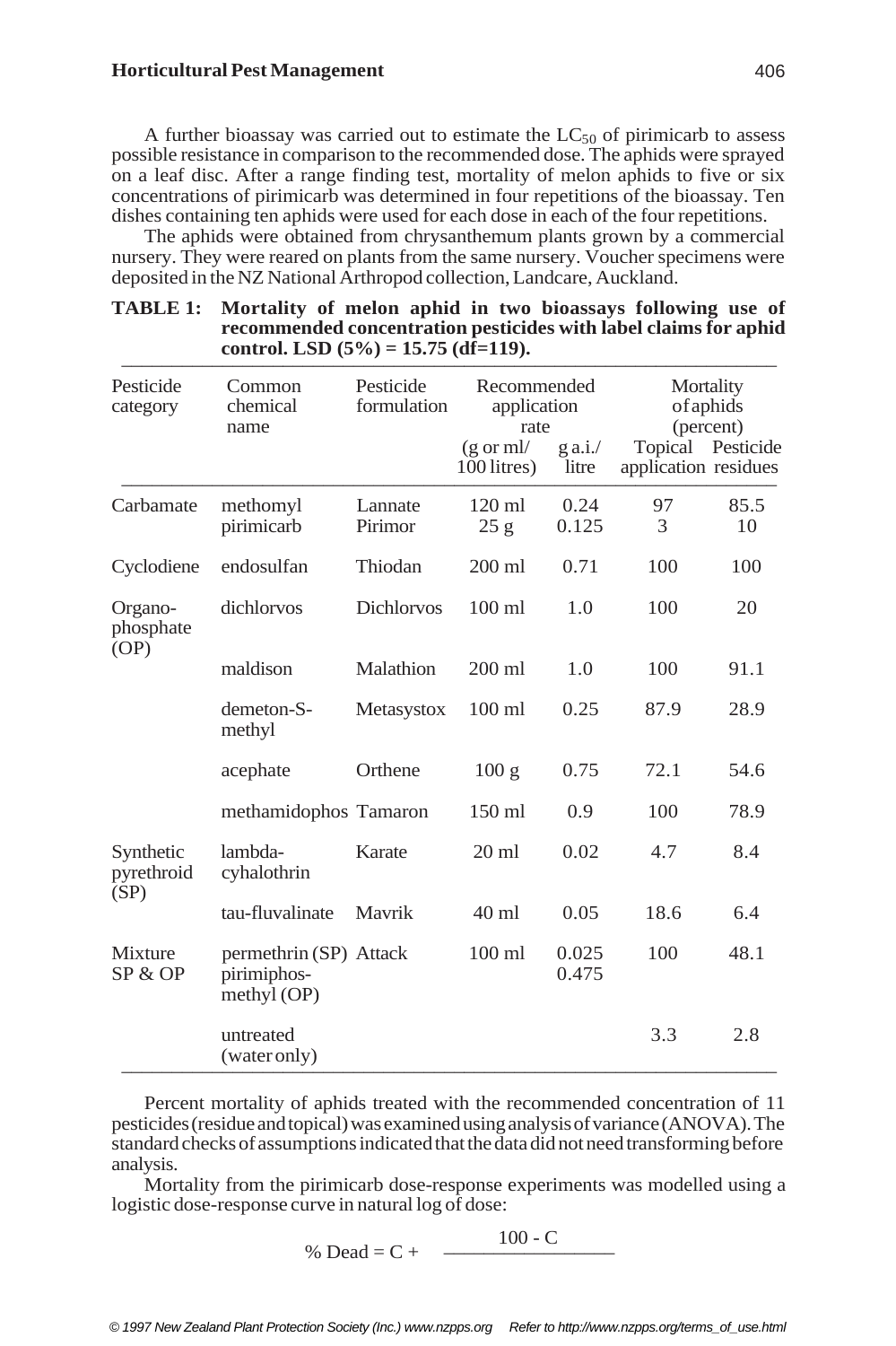A further bioassay was carried out to estimate the  $LC_{50}$  of pirimicarb to assess possible resistance in comparison to the recommended dose. The aphids were sprayed on a leaf disc. After a range finding test, mortality of melon aphids to five or six concentrations of pirimicarb was determined in four repetitions of the bioassay. Ten dishes containing ten aphids were used for each dose in each of the four repetitions.

The aphids were obtained from chrysanthemum plants grown by a commercial nursery. They were reared on plants from the same nursery. Voucher specimens were deposited in the NZ National Arthropod collection, Landcare, Auckland.

| Pesticide<br>category           | Common<br>chemical<br>name                             | Pesticide<br>formulation | Recommended<br>application<br>rate  |                    | Mortality<br>of aphids<br>(percent)       |            |
|---------------------------------|--------------------------------------------------------|--------------------------|-------------------------------------|--------------------|-------------------------------------------|------------|
|                                 |                                                        |                          | $(g \text{ or } ml)$<br>100 litres) | $g$ a.i./<br>litre | Topical Pesticide<br>application residues |            |
| Carbamate                       | methomyl<br>pirimicarb                                 | Lannate<br>Pirimor       | $120 \text{ ml}$<br>25g             | 0.24<br>0.125      | 97<br>3                                   | 85.5<br>10 |
| Cyclodiene                      | endosulfan                                             | Thiodan                  | 200 ml                              | 0.71               | 100                                       | 100        |
| Organo-<br>phosphate<br>(OP)    | dichlorvos                                             | <b>Dichlorvos</b>        | $100 \text{ ml}$                    | 1.0                | 100                                       | 20         |
|                                 | maldison                                               | Malathion                | $200$ ml                            | 1.0                | 100                                       | 91.1       |
|                                 | demeton-S-<br>methyl                                   | Metasystox               | $100$ ml                            | 0.25               | 87.9                                      | 28.9       |
|                                 | acephate                                               | Orthene                  | 100g                                | 0.75               | 72.1                                      | 54.6       |
|                                 | methamidophos Tamaron                                  |                          | $150$ ml                            | 0.9                | 100                                       | 78.9       |
| Synthetic<br>pyrethroid<br>(SP) | lambda-<br>cyhalothrin                                 | Karate                   | $20 \text{ ml}$                     | 0.02               | 4.7                                       | 8.4        |
|                                 | tau-fluvalinate                                        | Mavrik                   | $40$ ml                             | 0.05               | 18.6                                      | 6.4        |
| Mixture<br>SP & OP              | permethrin (SP) Attack<br>pirimiphos-<br>methyl $(OP)$ |                          | $100$ ml<br>100<br>0.025<br>0.475   | 48.1               |                                           |            |
|                                 | untreated<br>(water only)                              |                          |                                     |                    | 3.3                                       | 2.8        |

#### **TABLE 1: Mortality of melon aphid in two bioassays following use of recommended concentration pesticides with label claims for aphid** control. LSD  $(5\%) = 15.75$   $(d\hat{f}=119)$ .

Percent mortality of aphids treated with the recommended concentration of 11 pesticides (residue and topical) was examined using analysis of variance (ANOVA). The standard checks of assumptions indicated that the data did not need transforming before analysis.

Mortality from the pirimicarb dose-response experiments was modelled using a logistic dose-response curve in natural log of dose:

$$
\% \text{ Dead} = C + \frac{100 - C}{}
$$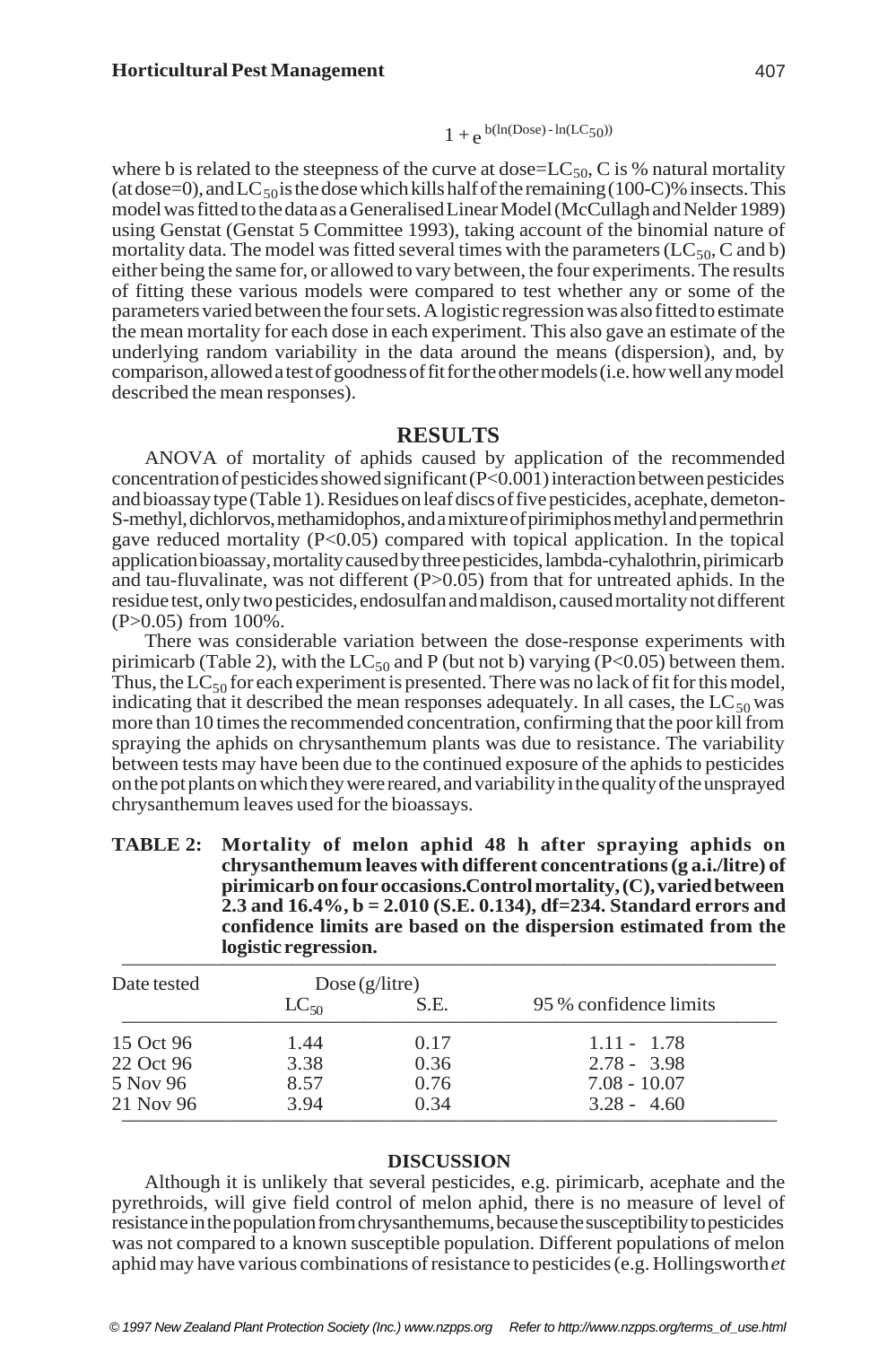$$
1+e^{b(ln(Dose) - ln(LC_{50}))}
$$

where b is related to the steepness of the curve at dose= $LC_{50}$ , C is % natural mortality (at dose=0), and LC $_{50}$  is the dose which kills half of the remaining (100-C)% insects. This model was fitted to the data as a Generalised Linear Model (McCullagh and Nelder 1989) using Genstat (Genstat 5 Committee 1993), taking account of the binomial nature of mortality data. The model was fitted several times with the parameters ( $LC_{50}$ , C and b) either being the same for, or allowed to vary between, the four experiments. The results of fitting these various models were compared to test whether any or some of the parameters varied between the four sets. A logistic regression was also fitted to estimate the mean mortality for each dose in each experiment. This also gave an estimate of the underlying random variability in the data around the means (dispersion), and, by comparison, allowed a test of goodness of fit for the other models (i.e. how well any model described the mean responses).

## **RESULTS**

ANOVA of mortality of aphids caused by application of the recommended concentration of pesticides showed significant (P<0.001) interaction between pesticides and bioassay type (Table 1). Residues on leaf discs of five pesticides, acephate, demeton-S-methyl, dichlorvos, methamidophos, and a mixture of pirimiphos methyl and permethrin gave reduced mortality (P<0.05) compared with topical application. In the topical application bioassay, mortality caused by three pesticides, lambda-cyhalothrin, pirimicarb and tau-fluvalinate, was not different (P>0.05) from that for untreated aphids. In the residue test, only two pesticides, endosulfan and maldison, caused mortality not different (P>0.05) from 100%.

There was considerable variation between the dose-response experiments with pirimicarb (Table 2), with the LC<sub>50</sub> and P (but not b) varying  $(P<0.05)$  between them. Thus, the  $LC_{50}$  for each experiment is presented. There was no lack of fit for this model, indicating that it described the mean responses adequately. In all cases, the  $LC_{50}$  was more than 10 times the recommended concentration, confirming that the poor kill from spraying the aphids on chrysanthemum plants was due to resistance. The variability between tests may have been due to the continued exposure of the aphids to pesticides on the pot plants on which they were reared, and variability in the quality of the unsprayed chrysanthemum leaves used for the bioassays.

**TABLE 2: Mortality of melon aphid 48 h after spraying aphids on chrysanthemum leaves with different concentrations (g a.i./litre) of pirimicarb on four occasions. Control mortality, (C), varied between 2.3 and 16.4%, b = 2.010 (S.E. 0.134), df=234. Standard errors and confidence limits are based on the dispersion estimated from the**  $logistic$  regression.

| Date tested | Dose(g/litre) |      |                        |
|-------------|---------------|------|------------------------|
|             | $LC_{50}$     | S.E. | 95 % confidence limits |
| 15 Oct 96   | 1.44          | 0.17 | $1.11 - 1.78$          |
| 22 Oct 96   | 3.38          | 0.36 | $2.78 - 3.98$          |
| 5 Nov 96    | 8.57          | 0.76 | $7.08 - 10.07$         |
| 21 Nov 96   | 3.94          | 0.34 | $3.28 - 4.60$          |

## **DISCUSSION**

Although it is unlikely that several pesticides, e.g. pirimicarb, acephate and the pyrethroids, will give field control of melon aphid, there is no measure of level of resistance in the population from chrysanthemums, because the susceptibility to pesticides was not compared to a known susceptible population. Different populations of melon aphid may have various combinations of resistance to pesticides (e.g. Hollingsworth *et*